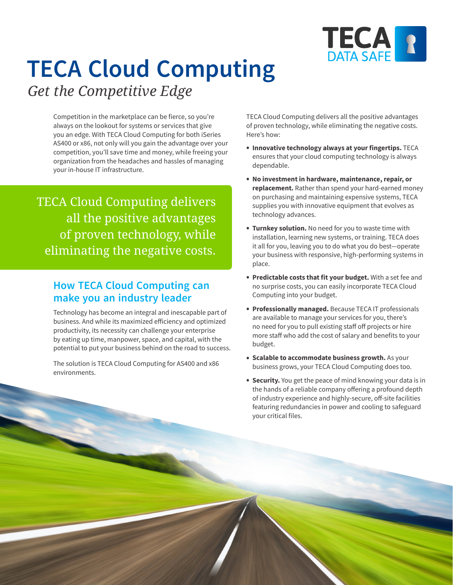

# **TECA Cloud Computing**

*Get the Competitive Edge*

Competition in the marketplace can be fierce, so you're always on the lookout for systems or services that give you an edge. With TECA Cloud Computing for both iSeries AS400 or x86, not only will you gain the advantage over your competition, you'll save time and money, while freeing your organization from the headaches and hassles of managing your in-house IT infrastructure.

TECA Cloud Computing delivers all the positive advantages of proven technology, while eliminating the negative costs.

### **How TECA Cloud Computing can make you an industry leader**

Technology has become an integral and inescapable part of business. And while its maximized efficiency and optimized productivity, its necessity can challenge your enterprise by eating up time, manpower, space, and capital, with the potential to put your business behind on the road to success.

The solution is TECA Cloud Computing for AS400 and x86 environments.

TECA Cloud Computing delivers all the positive advantages of proven technology, while eliminating the negative costs. Here's how:

- **Innovative technology always at your fingertips.** TECA ensures that your cloud computing technology is always dependable.
- **No investment in hardware, maintenance, repair, or replacement.** Rather than spend your hard-earned money on purchasing and maintaining expensive systems, TECA supplies you with innovative equipment that evolves as technology advances.
- **Turnkey solution.** No need for you to waste time with installation, learning new systems, or training. TECA does it all for you, leaving you to do what you do best—operate your business with responsive, high-performing systems in place.
- **Predictable costs that fit your budget.** With a set fee and no surprise costs, you can easily incorporate TECA Cloud Computing into your budget.
- **Professionally managed.** Because TECA IT professionals are available to manage your services for you, there's no need for you to pull existing staff off projects or hire more staff who add the cost of salary and benefits to your budget.
- **Scalable to accommodate business growth.** As your business grows, your TECA Cloud Computing does too.
- **Security.** You get the peace of mind knowing your data is in the hands of a reliable company offering a profound depth of industry experience and highly-secure, off-site facilities featuring redundancies in power and cooling to safeguard your critical files.